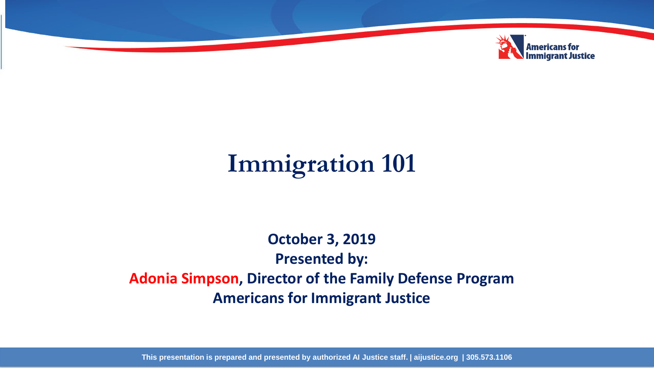

# **Immigration 101**

#### **October 3, 2019 Presented by: Adonia Simpson, Director of the Family Defense Program Americans for Immigrant Justice**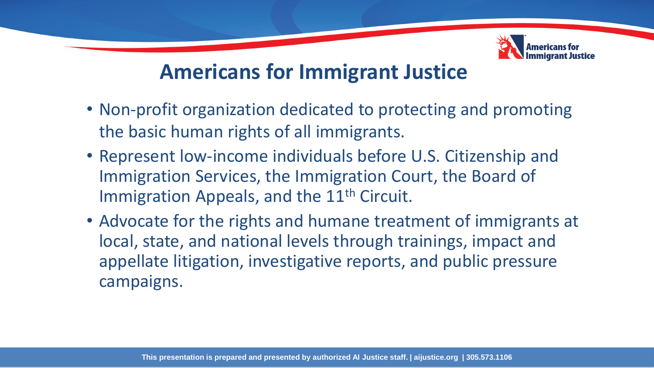

### **Americans for Immigrant Justice**

- Non-profit organization dedicated to protecting and promoting the basic human rights of all immigrants.
- Represent low-income individuals before U.S. Citizenship and Immigration Services, the Immigration Court, the Board of Immigration Appeals, and the 11<sup>th</sup> Circuit.
- Advocate for the rights and humane treatment of immigrants at local, state, and national levels through trainings, impact and appellate litigation, investigative reports, and public pressure campaigns.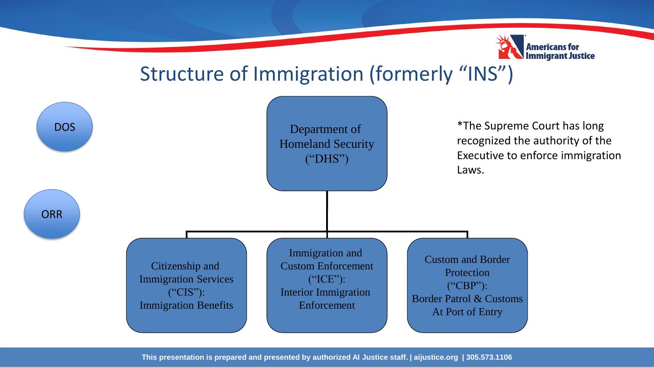

### Structure of Immigration (formerly "INS")

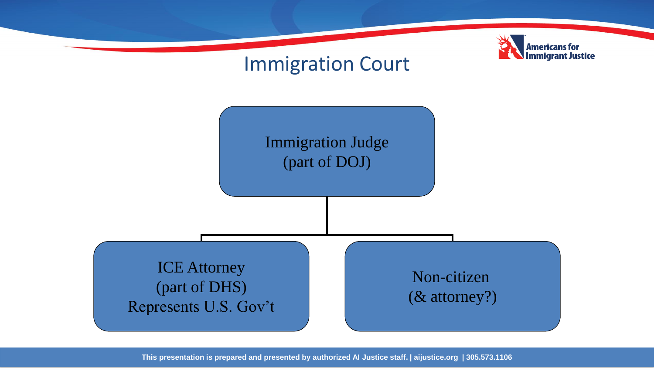### Immigration Court



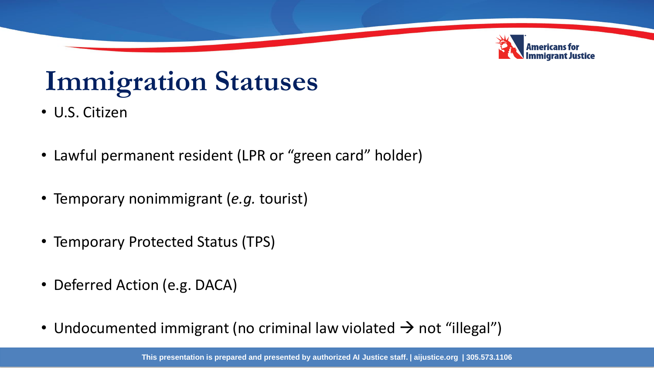

# **Immigration Statuses**

- U.S. Citizen
- Lawful permanent resident (LPR or "green card" holder)
- Temporary nonimmigrant (*e.g.* tourist)
- Temporary Protected Status (TPS)
- Deferred Action (e.g. DACA)
- Undocumented immigrant (no criminal law violated  $\rightarrow$  not "illegal")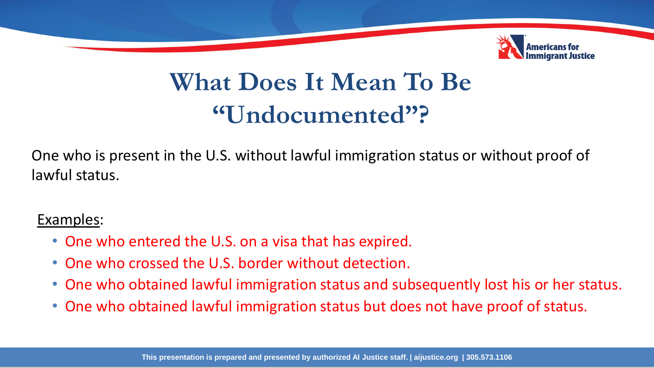

## **What Does It Mean To Be "Undocumented"?**

One who is present in the U.S. without lawful immigration status or without proof of lawful status.

#### Examples:

- One who entered the U.S. on a visa that has expired.
- One who crossed the U.S. border without detection.
- One who obtained lawful immigration status and subsequently lost his or her status.
- One who obtained lawful immigration status but does not have proof of status.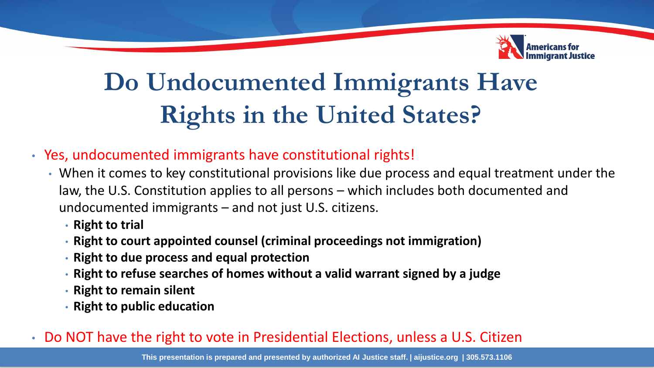

# **Do Undocumented Immigrants Have Rights in the United States?**

- Yes, undocumented immigrants have constitutional rights!
	- When it comes to key constitutional provisions like due process and equal treatment under the law, the U.S. Constitution applies to all persons – which includes both documented and undocumented immigrants – and not just U.S. citizens.
		- **Right to trial**
		- **Right to court appointed counsel (criminal proceedings not immigration)**
		- **Right to due process and equal protection**
		- **Right to refuse searches of homes without a valid warrant signed by a judge**
		- **Right to remain silent**
		- **Right to public education**

#### • Do NOT have the right to vote in Presidential Elections, unless a U.S. Citizen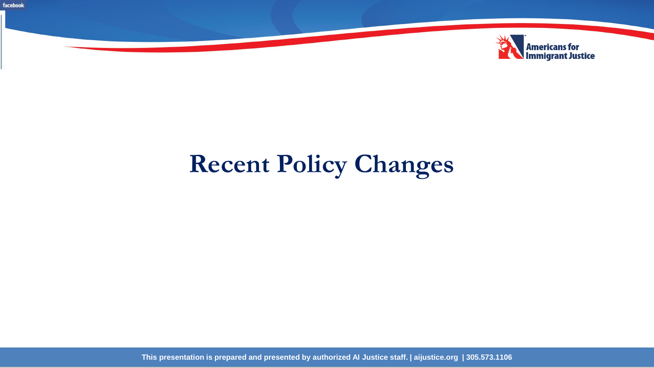

# **Recent Policy Changes**

facebook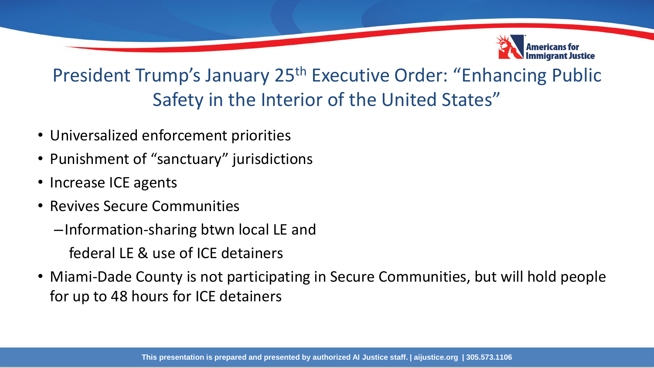

## President Trump's January 25th Executive Order: "Enhancing Public Safety in the Interior of the United States"

- Universalized enforcement priorities
- Punishment of "sanctuary" jurisdictions
- Increase ICE agents
- Revives Secure Communities
	- –Information-sharing btwn local LE and
		- federal LE & use of ICE detainers
- Miami-Dade County is not participating in Secure Communities, but will hold people for up to 48 hours for ICE detainers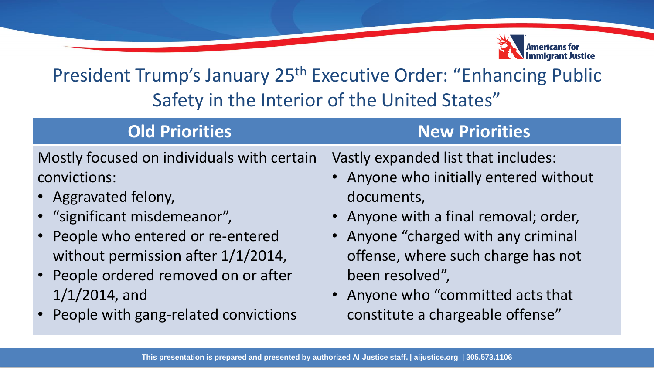

## President Trump's January 25th Executive Order: "Enhancing Public Safety in the Interior of the United States"

| <b>Old Priorities</b>                      | <b>New Priorities</b>                  |
|--------------------------------------------|----------------------------------------|
| Mostly focused on individuals with certain | Vastly expanded list that includes:    |
| convictions:                               | • Anyone who initially entered without |
| • Aggravated felony,                       | documents,                             |
| • "significant misdemeanor",               | • Anyone with a final removal; order,  |
| • People who entered or re-entered         | • Anyone "charged with any criminal    |
| without permission after 1/1/2014,         | offense, where such charge has not     |
| • People ordered removed on or after       | been resolved",                        |
| $1/1/2014$ , and                           | • Anyone who "committed acts that      |
| • People with gang-related convictions     | constitute a chargeable offense"       |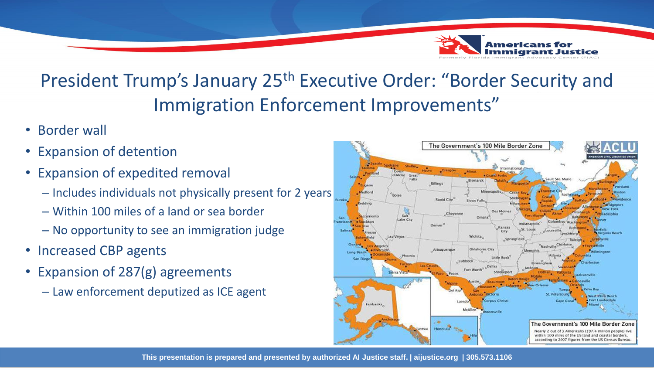

### President Trump's January 25<sup>th</sup> Executive Order: "Border Security and Immigration Enforcement Improvements"

- Border wall
- Expansion of detention
- Expansion of expedited removal
	- Includes individuals not physically present for 2 years
	- Within 100 miles of a land or sea border
	- No opportunity to see an immigration judge
- Increased CBP agents
- Expansion of 287(g) agreements
	- Law enforcement deputized as ICE agent

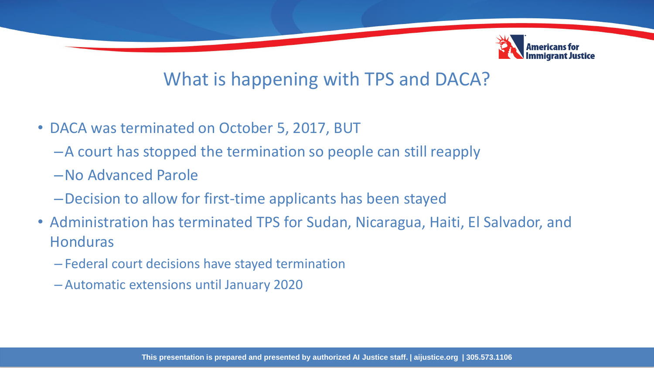

#### What is happening with TPS and DACA?

- DACA was terminated on October 5, 2017, BUT
	- –A court has stopped the termination so people can still reapply
	- –No Advanced Parole
	- –Decision to allow for first-time applicants has been stayed
- Administration has terminated TPS for Sudan, Nicaragua, Haiti, El Salvador, and **Honduras** 
	- Federal court decisions have stayed termination
	- Automatic extensions until January 2020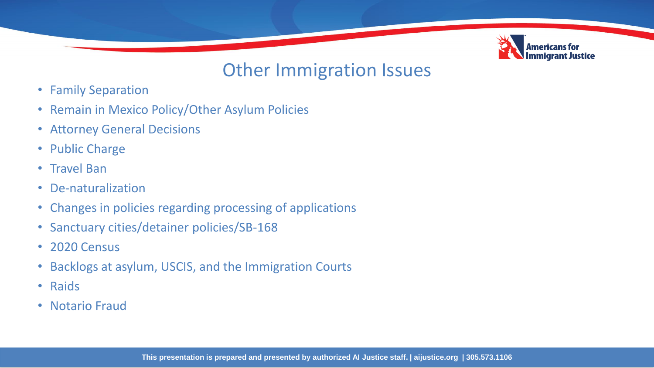

#### Other Immigration Issues

- Family Separation
- Remain in Mexico Policy/Other Asylum Policies
- Attorney General Decisions
- Public Charge
- Travel Ban
- De-naturalization
- Changes in policies regarding processing of applications
- Sanctuary cities/detainer policies/SB-168
- 2020 Census
- Backlogs at asylum, USCIS, and the Immigration Courts
- Raids
- Notario Fraud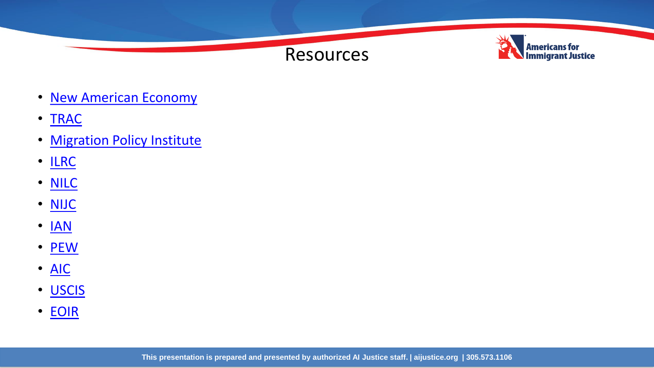



- [New American Economy](https://www.newamericaneconomy.org/)
- [TRAC](http://trac.syr.edu/whatsnew/)
- [Migration Policy Institute](https://www.migrationpolicy.org/)
- [ILRC](https://www.ilrc.org/community-resources)
- [NILC](https://www.nilc.org/news/special-reports/)
- [NIJC](http://www.immigrantjustice.org/index.php/research-items)
- [IAN](https://www.immigrationadvocates.org/)
- [PEW](http://www.pewhispanic.org/2018/09/14/facts-on-u-s-immigrants/)
- [AIC](https://www.americanimmigrationcouncil.org/topics/state-by-state)
- [USCIS](https://www.uscis.gov/)
- [EOIR](https://www.justice.gov/eoir)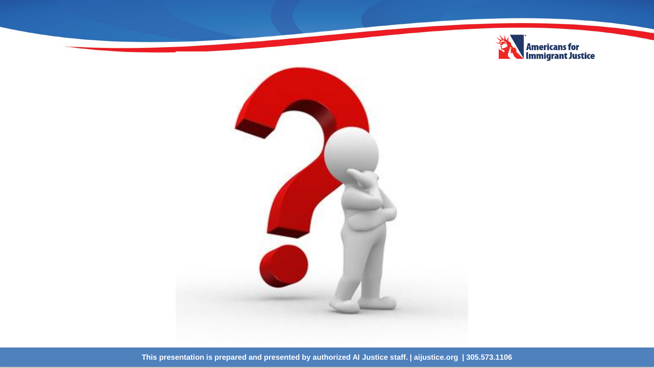